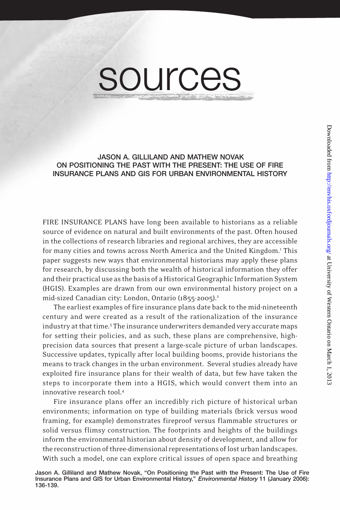## sources

## ON POSITIONING THE PAST WITH THE PRESENT: THE USE OF FIRE INSURANCE PLANS AND GIS FOR URBAN ENVIRONMENTAL HISTORY JASON A. GILLILAND AND MATHEW NOVAK

FIRE INSURANCE PLANS have long been available to historians as a reliable source of evidence on natural and built environments of the past. Often housed in the collections of research libraries and regional archives, they are accessible for many cities and towns across North America and the United Kingdom.<sup>1</sup> This paper suggests new ways that environmental historians may apply these plans for research, by discussing both the wealth of historical information they offer and their practical use as the basis of a Historical Geographic Information System (HGIS). Examples are drawn from our own environmental history project on a mid-sized Canadian city: London, Ontario (1855-2005).<sup>2</sup>

The earliest examples of fire insurance plans date back to the mid-nineteenth century and were created as a result of the rationalization of the insurance industry at that time.<sup>3</sup> The insurance underwriters demanded very accurate maps for setting their policies, and as such, these plans are comprehensive, highprecision data sources that present a large-scale picture of urban landscapes. Successive updates, typically after local building booms, provide historians the means to track changes in the urban environment. Several studies already have exploited fire insurance plans for their wealth of data, but few have taken the steps to incorporate them into a HGIS, which would convert them into an innovative research tool.4

Fire insurance plans offer an incredibly rich picture of historical urban environments; information on type of building materials (brick versus wood framing, for example) demonstrates fireproof versus flammable structures or solid versus flimsy construction. The footprints and heights of the buildings inform the environmental historian about density of development, and allow for the reconstruction of three-dimensional representations of lost urban landscapes. With such a model, one can explore critical issues of open space and breathing

Jason A. Gilliland and Mathew Novak, "On Positioning the Past with the Present: The Use of Fire Insurance Plans and GIS for Urban Environmental History," Environmental History 11 (January 2006): 136-139.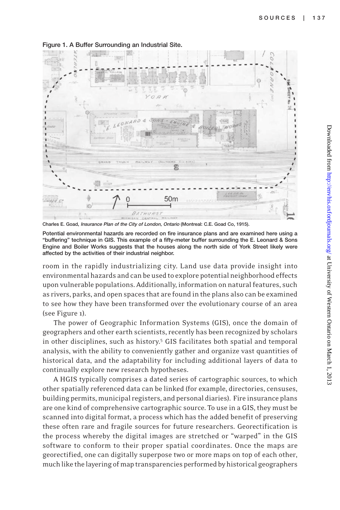

Figure 1. A Buffer Surrounding an Industrial Site.

Charles E. Goad, Insurance Plan of the City of London, Ontario (Montreal: C.E. Goad Co, 1915).

Potential environmental hazards are recorded on fire insurance plans and are examined here using a "buffering" technique in GIS. This example of a fifty-meter buffer surrounding the E. Leonard & Sons Engine and Boiler Works suggests that the houses along the north side of York Street likely were affected by the activities of their industrial neighbor.

room in the rapidly industrializing city. Land use data provide insight into environmental hazards and can be used to explore potential neighborhood effects upon vulnerable populations. Additionally, information on natural features, such as rivers, parks, and open spaces that are found in the plans also can be examined to see how they have been transformed over the evolutionary course of an area (see Figure 1).

The power of Geographic Information Systems (GIS), once the domain of geographers and other earth scientists, recently has been recognized by scholars in other disciplines, such as history.<sup>5</sup> GIS facilitates both spatial and temporal analysis, with the ability to conveniently gather and organize vast quantities of historical data, and the adaptability for including additional layers of data to continually explore new research hypotheses.

A HGIS typically comprises a dated series of cartographic sources, to which other spatially referenced data can be linked (for example, directories, censuses, building permits, municipal registers, and personal diaries). Fire insurance plans are one kind of comprehensive cartographic source. To use in a GIS, they must be scanned into digital format, a process which has the added benefit of preserving these often rare and fragile sources for future researchers. Georectification is the process whereby the digital images are stretched or "warped" in the GIS software to conform to their proper spatial coordinates. Once the maps are georectified, one can digitally superpose two or more maps on top of each other, much like the layering of map transparencies performed by historical geographers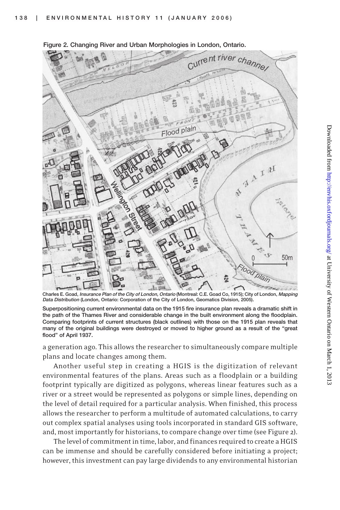

Figure 2. Changing River and Urban Morphologies in London, Ontario.

Charles E. Goad, *Insurance Plan of the City of London, Ontario* (Montreal: C.E. Goad Co, 1915); City of London, *Mapping* Data Distribution (London, Ontario: Corporation of the City of London, Geomatics Division, 2005).

Superpositioning current environmental data on the 1915 fire insurance plan reveals a dramatic shift in the path of the Thames River and considerable change in the built environment along the floodplain. Comparing footprints of current structures (black outlines) with those on the 1915 plan reveals that many of the original buildings were destroyed or moved to higher ground as a result of the "great flood" of April 1937.

a generation ago. This allows the researcher to simultaneously compare multiple plans and locate changes among them.

Another useful step in creating a HGIS is the digitization of relevant environmental features of the plans. Areas such as a floodplain or a building footprint typically are digitized as polygons, whereas linear features such as a river or a street would be represented as polygons or simple lines, depending on the level of detail required for a particular analysis. When finished, this process allows the researcher to perform a multitude of automated calculations, to carry out complex spatial analyses using tools incorporated in standard GIS software, and, most importantly for historians, to compare change over time (see Figure 2).

The level of commitment in time, labor, and finances required to create a HGIS can be immense and should be carefully considered before initiating a project; however, this investment can pay large dividends to any environmental historian